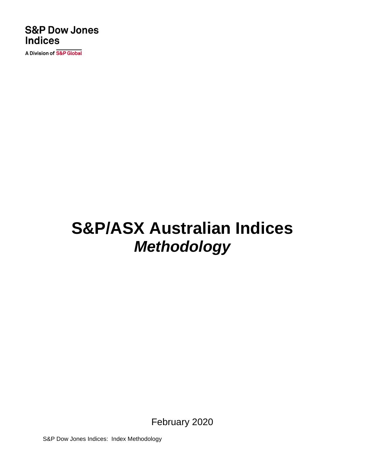### **S&P Dow Jones Indices**

A Division of S&P Global

# **S&P/ASX Australian Indices** *Methodology*

February 2020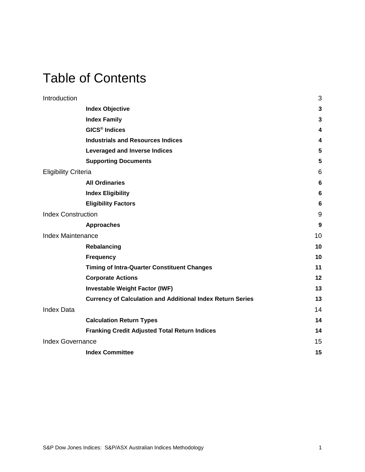### Table of Contents

| Introduction                |                                                                   | 3               |
|-----------------------------|-------------------------------------------------------------------|-----------------|
|                             | <b>Index Objective</b>                                            | $\mathbf 3$     |
|                             | <b>Index Family</b>                                               | 3               |
|                             | <b>GICS<sup>®</sup></b> Indices                                   | 4               |
|                             | <b>Industrials and Resources Indices</b>                          | 4               |
|                             | <b>Leveraged and Inverse Indices</b>                              | 5               |
|                             | <b>Supporting Documents</b>                                       | 5               |
| <b>Eligibility Criteria</b> |                                                                   | $6\phantom{1}6$ |
|                             | <b>All Ordinaries</b>                                             | $6\phantom{1}6$ |
|                             | <b>Index Eligibility</b>                                          | 6               |
|                             | <b>Eligibility Factors</b>                                        | 6               |
| <b>Index Construction</b>   |                                                                   | 9               |
|                             | <b>Approaches</b>                                                 | 9               |
| <b>Index Maintenance</b>    |                                                                   | 10              |
|                             | Rebalancing                                                       | 10              |
|                             | <b>Frequency</b>                                                  | 10              |
|                             | <b>Timing of Intra-Quarter Constituent Changes</b>                | 11              |
|                             | <b>Corporate Actions</b>                                          | 12              |
|                             | <b>Investable Weight Factor (IWF)</b>                             | 13              |
|                             | <b>Currency of Calculation and Additional Index Return Series</b> | 13              |
| <b>Index Data</b>           |                                                                   | 14              |
|                             | <b>Calculation Return Types</b>                                   | 14              |
|                             | <b>Franking Credit Adjusted Total Return Indices</b>              | 14              |
| <b>Index Governance</b>     |                                                                   | 15              |
|                             | <b>Index Committee</b>                                            | 15              |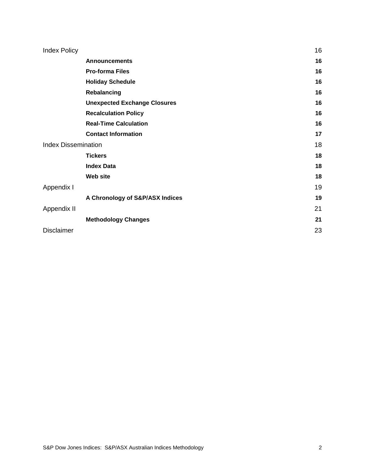| <b>Index Policy</b>        |                                     | 16 |
|----------------------------|-------------------------------------|----|
|                            | <b>Announcements</b>                | 16 |
|                            | <b>Pro-forma Files</b>              | 16 |
|                            | <b>Holiday Schedule</b>             | 16 |
|                            | Rebalancing                         | 16 |
|                            | <b>Unexpected Exchange Closures</b> | 16 |
|                            | <b>Recalculation Policy</b>         | 16 |
|                            | <b>Real-Time Calculation</b>        | 16 |
|                            | <b>Contact Information</b>          | 17 |
| <b>Index Dissemination</b> |                                     | 18 |
|                            | <b>Tickers</b>                      | 18 |
|                            | <b>Index Data</b>                   | 18 |
|                            | Web site                            | 18 |
| Appendix I                 |                                     | 19 |
|                            | A Chronology of S&P/ASX Indices     | 19 |
| Appendix II                |                                     | 21 |
|                            | <b>Methodology Changes</b>          | 21 |
| <b>Disclaimer</b>          |                                     | 23 |
|                            |                                     |    |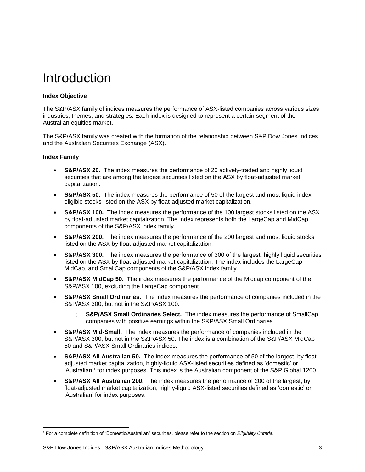### <span id="page-3-0"></span>Introduction

#### <span id="page-3-1"></span>**Index Objective**

The S&P/ASX family of indices measures the performance of ASX-listed companies across various sizes, industries, themes, and strategies. Each index is designed to represent a certain segment of the Australian equities market.

The S&P/ASX family was created with the formation of the relationship between S&P Dow Jones Indices and the Australian Securities Exchange (ASX).

#### <span id="page-3-2"></span>**Index Family**

- **S&P/ASX 20.** The index measures the performance of 20 actively-traded and highly liquid securities that are among the largest securities listed on the ASX by float-adjusted market capitalization.
- **S&P/ASX 50.** The index measures the performance of 50 of the largest and most liquid indexeligible stocks listed on the ASX by float-adjusted market capitalization.
- **S&P/ASX 100.** The index measures the performance of the 100 largest stocks listed on the ASX by float-adjusted market capitalization. The index represents both the LargeCap and MidCap components of the S&P/ASX index family.
- **S&P/ASX 200.** The index measures the performance of the 200 largest and most liquid stocks listed on the ASX by float-adjusted market capitalization.
- **S&P/ASX 300.** The index measures the performance of 300 of the largest, highly liquid securities listed on the ASX by float-adjusted market capitalization. The index includes the LargeCap, MidCap, and SmallCap components of the S&P/ASX index family.
- **S&P/ASX MidCap 50.** The index measures the performance of the Midcap component of the S&P/ASX 100, excluding the LargeCap component.
- **S&P/ASX Small Ordinaries.** The index measures the performance of companies included in the S&P/ASX 300, but not in the S&P/ASX 100.
	- o **S&P/ASX Small Ordinaries Select.** The index measures the performance of SmallCap companies with positive earnings within the S&P/ASX Small Ordinaries.
- **S&P/ASX Mid-Small.** The index measures the performance of companies included in the S&P/ASX 300, but not in the S&P/ASX 50. The index is a combination of the S&P/ASX MidCap 50 and S&P/ASX Small Ordinaries indices.
- **S&P/ASX All Australian 50.** The index measures the performance of 50 of the largest, by floatadjusted market capitalization, highly-liquid ASX-listed securities defined as 'domestic' or 'Australian'<sup>1</sup> for index purposes. This index is the Australian component of the S&P Global 1200.
- **S&P/ASX All Australian 200.** The index measures the performance of 200 of the largest, by float-adjusted market capitalization, highly-liquid ASX-listed securities defined as 'domestic' or 'Australian' for index purposes.

<sup>1</sup> For a complete definition of "Domestic/Australian" securities, please refer to the section on *Eligibility Criteria.*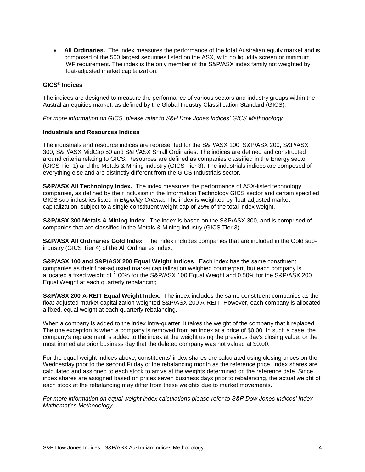**All Ordinaries.** The index measures the performance of the total Australian equity market and is composed of the 500 largest securities listed on the ASX, with no liquidity screen or minimum IWF requirement. The index is the only member of the S&P/ASX index family not weighted by float-adjusted market capitalization.

#### <span id="page-4-0"></span>**GICS® Indices**

The indices are designed to measure the performance of various sectors and industry groups within the Australian equities market, as defined by the Global Industry Classification Standard (GICS).

*For more information on GICS, please refer to S&P Dow Jones Indices' GICS Methodology.*

#### <span id="page-4-1"></span>**Industrials and Resources Indices**

The industrials and resource indices are represented for the S&P/ASX 100, S&P/ASX 200, S&P/ASX 300, S&P/ASX MidCap 50 and S&P/ASX Small Ordinaries. The indices are defined and constructed around criteria relating to GICS. Resources are defined as companies classified in the Energy sector (GICS Tier 1) and the Metals & Mining industry (GICS Tier 3). The industrials indices are composed of everything else and are distinctly different from the GICS Industrials sector.

**S&P/ASX All Technology Index.** The index measures the performance of ASX-listed technology companies, as defined by their inclusion in the Information Technology GICS sector and certain specified GICS sub-industries listed in *Eligibility Criteria*. The index is weighted by float-adjusted market capitalization, subject to a single constituent weight cap of 25% of the total index weight.

**S&P/ASX 300 Metals & Mining Index.** The index is based on the S&P/ASX 300, and is comprised of companies that are classified in the Metals & Mining industry (GICS Tier 3).

**S&P/ASX All Ordinaries Gold Index.** The index includes companies that are included in the Gold subindustry (GICS Tier 4) of the All Ordinaries index.

**S&P/ASX 100 and S&P/ASX 200 Equal Weight Indices**. Each index has the same constituent companies as their float-adjusted market capitalization weighted counterpart, but each company is allocated a fixed weight of 1.00% for the S&P/ASX 100 Equal Weight and 0.50% for the S&P/ASX 200 Equal Weight at each quarterly rebalancing.

**S&P/ASX 200 A-REIT Equal Weight Index**. The index includes the same constituent companies as the float-adjusted market capitalization weighted S&P/ASX 200 A-REIT. However, each company is allocated a fixed, equal weight at each quarterly rebalancing.

When a company is added to the index intra-quarter, it takes the weight of the company that it replaced. The one exception is when a company is removed from an index at a price of \$0.00. In such a case, the company's replacement is added to the index at the weight using the previous day's closing value, or the most immediate prior business day that the deleted company was not valued at \$0.00.

For the equal weight indices above, constituents' index shares are calculated using closing prices on the Wednesday prior to the second Friday of the rebalancing month as the reference price. Index shares are calculated and assigned to each stock to arrive at the weights determined on the reference date. Since index shares are assigned based on prices seven business days prior to rebalancing, the actual weight of each stock at the rebalancing may differ from these weights due to market movements.

*For more information on equal weight index calculations please refer to S&P Dow Jones Indices' Index Mathematics Methodology.*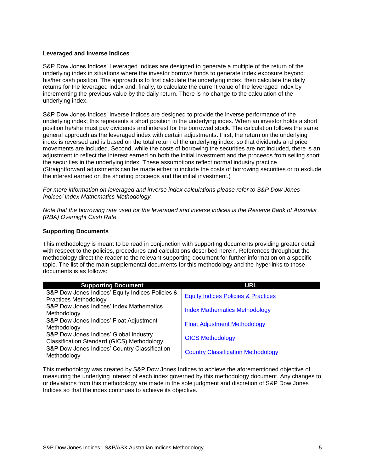#### <span id="page-5-0"></span>**Leveraged and Inverse Indices**

S&P Dow Jones Indices' Leveraged Indices are designed to generate a multiple of the return of the underlying index in situations where the investor borrows funds to generate index exposure beyond his/her cash position. The approach is to first calculate the underlying index, then calculate the daily returns for the leveraged index and, finally, to calculate the current value of the leveraged index by incrementing the previous value by the daily return. There is no change to the calculation of the underlying index.

S&P Dow Jones Indices' Inverse Indices are designed to provide the inverse performance of the underlying index; this represents a short position in the underlying index. When an investor holds a short position he/she must pay dividends and interest for the borrowed stock. The calculation follows the same general approach as the leveraged index with certain adjustments. First, the return on the underlying index is reversed and is based on the total return of the underlying index, so that dividends and price movements are included. Second, while the costs of borrowing the securities are not included, there is an adjustment to reflect the interest earned on both the initial investment and the proceeds from selling short the securities in the underlying index. These assumptions reflect normal industry practice. (Straightforward adjustments can be made either to include the costs of borrowing securities or to exclude the interest earned on the shorting proceeds and the initial investment.)

*For more information on leveraged and inverse index calculations please refer to S&P Dow Jones Indices' Index Mathematics Methodology.*

*Note that the borrowing rate used for the leveraged and inverse indices is the Reserve Bank of Australia (RBA) Overnight Cash Rate.*

#### <span id="page-5-1"></span>**Supporting Documents**

This methodology is meant to be read in conjunction with supporting documents providing greater detail with respect to the policies, procedures and calculations described herein. References throughout the methodology direct the reader to the relevant supporting document for further information on a specific topic. The list of the main supplemental documents for this methodology and the hyperlinks to those documents is as follows:

| <b>Supporting Document</b>                        | <b>URL</b>                                     |  |
|---------------------------------------------------|------------------------------------------------|--|
| S&P Dow Jones Indices' Equity Indices Policies &  | <b>Equity Indices Policies &amp; Practices</b> |  |
| <b>Practices Methodology</b>                      |                                                |  |
| S&P Dow Jones Indices' Index Mathematics          | <b>Index Mathematics Methodology</b>           |  |
| Methodology                                       |                                                |  |
| S&P Dow Jones Indices' Float Adjustment           | <b>Float Adjustment Methodology</b>            |  |
| Methodology                                       |                                                |  |
| S&P Dow Jones Indices' Global Industry            | <b>GICS Methodology</b>                        |  |
| <b>Classification Standard (GICS) Methodology</b> |                                                |  |
| S&P Dow Jones Indices' Country Classification     | <b>Country Classification Methodology</b>      |  |
| Methodology                                       |                                                |  |

This methodology was created by S&P Dow Jones Indices to achieve the aforementioned objective of measuring the underlying interest of each index governed by this methodology document. Any changes to or deviations from this methodology are made in the sole judgment and discretion of S&P Dow Jones Indices so that the index continues to achieve its objective.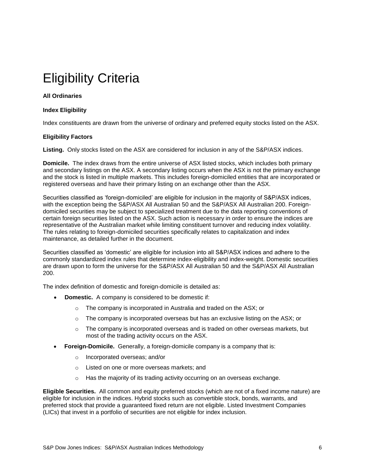## <span id="page-6-0"></span>Eligibility Criteria

#### <span id="page-6-1"></span>**All Ordinaries**

#### <span id="page-6-2"></span>**Index Eligibility**

<span id="page-6-3"></span>Index constituents are drawn from the universe of ordinary and preferred equity stocks listed on the ASX.

#### **Eligibility Factors**

**Listing.** Only stocks listed on the ASX are considered for inclusion in any of the S&P/ASX indices.

**Domicile.** The index draws from the entire universe of ASX listed stocks, which includes both primary and secondary listings on the ASX. A secondary listing occurs when the ASX is not the primary exchange and the stock is listed in multiple markets. This includes foreign-domiciled entities that are incorporated or registered overseas and have their primary listing on an exchange other than the ASX.

Securities classified as 'foreign-domiciled' are eligible for inclusion in the majority of S&P/ASX indices, with the exception being the S&P/ASX All Australian 50 and the S&P/ASX All Australian 200. Foreigndomiciled securities may be subject to specialized treatment due to the data reporting conventions of certain foreign securities listed on the ASX. Such action is necessary in order to ensure the indices are representative of the Australian market while limiting constituent turnover and reducing index volatility. The rules relating to foreign-domiciled securities specifically relates to capitalization and index maintenance, as detailed further in the document.

Securities classified as 'domestic' are eligible for inclusion into all S&P/ASX indices and adhere to the commonly standardized index rules that determine index-eligibility and index-weight. Domestic securities are drawn upon to form the universe for the S&P/ASX All Australian 50 and the S&P/ASX All Australian 200.

The index definition of domestic and foreign-domicile is detailed as:

- **Domestic.** A company is considered to be domestic if:
	- o The company is incorporated in Australia and traded on the ASX; or
	- $\circ$  The company is incorporated overseas but has an exclusive listing on the ASX; or
	- $\circ$  The company is incorporated overseas and is traded on other overseas markets, but most of the trading activity occurs on the ASX.
- **Foreign-Domicile.** Generally, a foreign-domicile company is a company that is:
	- o Incorporated overseas; and/or
	- o Listed on one or more overseas markets; and
	- o Has the majority of its trading activity occurring on an overseas exchange.

**Eligible Securities.** All common and equity preferred stocks (which are not of a fixed income nature) are eligible for inclusion in the indices. Hybrid stocks such as convertible stock, bonds, warrants, and preferred stock that provide a guaranteed fixed return are not eligible. Listed Investment Companies (LICs) that invest in a portfolio of securities are not eligible for index inclusion.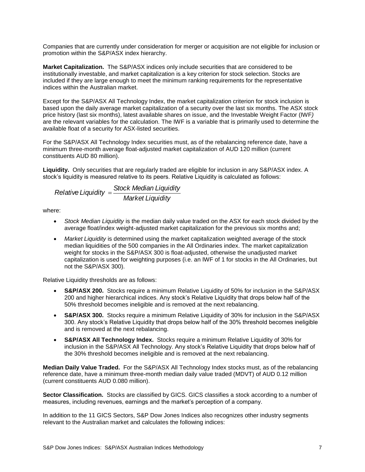Companies that are currently under consideration for merger or acquisition are not eligible for inclusion or promotion within the S&P/ASX index hierarchy.

**Market Capitalization.** The S&P/ASX indices only include securities that are considered to be institutionally investable, and market capitalization is a key criterion for stock selection. Stocks are included if they are large enough to meet the minimum ranking requirements for the representative indices within the Australian market.

Except for the S&P/ASX All Technology Index, the market capitalization criterion for stock inclusion is based upon the daily average market capitalization of a security over the last six months. The ASX stock price history (last six months), latest available shares on issue, and the Investable Weight Factor (IWF*)*  are the relevant variables for the calculation. The IWF is a variable that is primarily used to determine the available float of a security for ASX-listed securities.

For the S&P/ASX All Technology Index securities must, as of the rebalancing reference date, have a minimum three-month average float-adjusted market capitalization of AUD 120 million (current constituents AUD 80 million).

**Liquidity.** Only securities that are regularly traded are eligible for inclusion in any S&P/ASX index. A stock's liquidity is measured relative to its peers. Relative Liquidity is calculated as follows:

$$
Relative Liquidity = \frac{Stock Median Liquidity}{Market Liquidity}
$$

where:

- *Stock Median Liquidity* is the median daily value traded on the ASX for each stock divided by the average float/index weight-adjusted market capitalization for the previous six months and;
- *Market Liquidity* is determined using the market capitalization weighted average of the stock median liquidities of the 500 companies in the All Ordinaries index. The market capitalization weight for stocks in the S&P/ASX 300 is float-adjusted, otherwise the unadjusted market capitalization is used for weighting purposes (i.e. an IWF of 1 for stocks in the All Ordinaries, but not the S&P/ASX 300).

Relative Liquidity thresholds are as follows:

- **S&P/ASX 200.** Stocks require a minimum Relative Liquidity of 50% for inclusion in the S&P/ASX 200 and higher hierarchical indices. Any stock's Relative Liquidity that drops below half of the 50% threshold becomes ineligible and is removed at the next rebalancing.
- **S&P/ASX 300.** Stocks require a minimum Relative Liquidity of 30% for inclusion in the S&P/ASX 300. Any stock's Relative Liquidity that drops below half of the 30% threshold becomes ineligible and is removed at the next rebalancing.
- **S&P/ASX All Technology Index.** Stocks require a minimum Relative Liquidity of 30% for inclusion in the S&P/ASX All Technology. Any stock's Relative Liquidity that drops below half of the 30% threshold becomes ineligible and is removed at the next rebalancing.

**Median Daily Value Traded.** For the S&P/ASX All Technology Index stocks must, as of the rebalancing reference date, have a minimum three-month median daily value traded (MDVT) of AUD 0.12 million (current constituents AUD 0.080 million).

**Sector Classification.** Stocks are classified by GICS. GICS classifies a stock according to a number of measures, including revenues, earnings and the market's perception of a company.

In addition to the 11 GICS Sectors, S&P Dow Jones Indices also recognizes other industry segments relevant to the Australian market and calculates the following indices: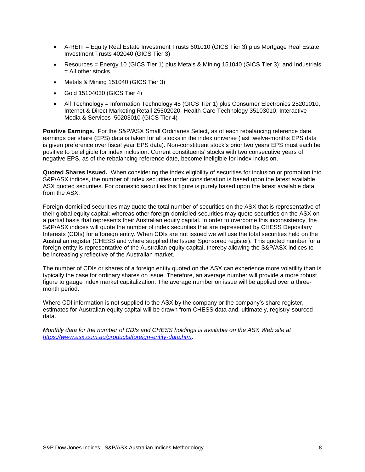- A-REIT = Equity Real Estate Investment Trusts 601010 (GICS Tier 3) plus Mortgage Real Estate Investment Trusts 402040 (GICS Tier 3)
- Resources = Energy 10 (GICS Tier 1) plus Metals & Mining 151040 (GICS Tier 3); and Industrials = All other stocks
- Metals & Mining 151040 (GICS Tier 3)
- Gold 15104030 (GICS Tier 4)
- All Technology = Information Technology 45 (GICS Tier 1) plus Consumer Electronics 25201010, Internet & Direct Marketing Retail 25502020, Health Care Technology 35103010, Interactive Media & Services 50203010 (GICS Tier 4)

**Positive Earnings.** For the S&P/ASX Small Ordinaries Select, as of each rebalancing reference date, earnings per share (EPS) data is taken for all stocks in the index universe (last twelve-months EPS data is given preference over fiscal year EPS data). Non-constituent stock's prior two years EPS must each be positive to be eligible for index inclusion. Current constituents' stocks with two consecutive years of negative EPS, as of the rebalancing reference date, become ineligible for index inclusion.

**Quoted Shares Issued.** When considering the index eligibility of securities for inclusion or promotion into S&P/ASX indices, the number of index securities under consideration is based upon the latest available ASX quoted securities. For domestic securities this figure is purely based upon the latest available data from the ASX.

Foreign-domiciled securities may quote the total number of securities on the ASX that is representative of their global equity capital; whereas other foreign-domiciled securities may quote securities on the ASX on a partial basis that represents their Australian equity capital. In order to overcome this inconsistency, the S&P/ASX indices will quote the number of index securities that are represented by CHESS Depositary Interests (CDIs) for a foreign entity. When CDIs are not issued we will use the total securities held on the Australian register (CHESS and where supplied the Issuer Sponsored register). This quoted number for a foreign entity is representative of the Australian equity capital, thereby allowing the S&P/ASX indices to be increasingly reflective of the Australian market.

The number of CDIs or shares of a foreign entity quoted on the ASX can experience more volatility than is typically the case for ordinary shares on issue. Therefore, an average number will provide a more robust figure to gauge index market capitalization. The average number on issue will be applied over a threemonth period.

Where CDI information is not supplied to the ASX by the company or the company's share register, estimates for Australian equity capital will be drawn from CHESS data and, ultimately, registry-sourced data.

*Monthly data for the number of CDIs and CHESS holdings is available on the ASX Web site at <https://www.asx.com.au/products/foreign-entity-data.htm>*.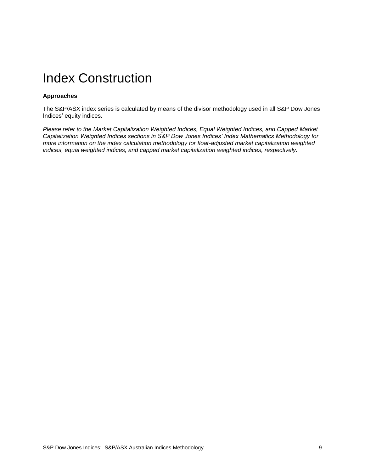### <span id="page-9-0"></span>Index Construction

#### <span id="page-9-1"></span>**Approaches**

The S&P/ASX index series is calculated by means of the divisor methodology used in all S&P Dow Jones Indices' equity indices.

*Please refer to the Market Capitalization Weighted Indices, Equal Weighted Indices, and Capped Market Capitalization Weighted Indices sections in S&P Dow Jones Indices' Index Mathematics Methodology for more information on the index calculation methodology for float-adjusted market capitalization weighted indices, equal weighted indices, and capped market capitalization weighted indices, respectively.*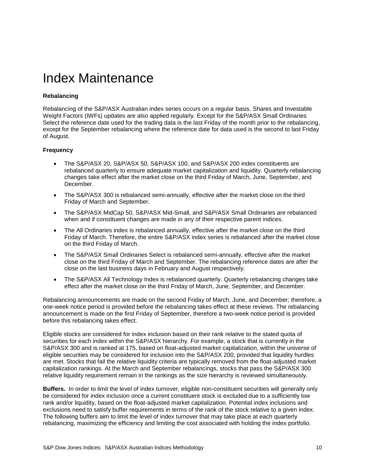### <span id="page-10-0"></span>Index Maintenance

#### <span id="page-10-1"></span>**Rebalancing**

Rebalancing of the S&P/ASX Australian index series occurs on a regular basis. Shares and Investable Weight Factors (IWFs) updates are also applied regularly. Except for the S&P/ASX Small Ordinaries Select the reference date used for the trading data is the last Friday of the month prior to the rebalancing, except for the September rebalancing where the reference date for data used is the second to last Friday of August.

#### <span id="page-10-2"></span>**Frequency**

- The S&P/ASX 20, S&P/ASX 50, S&P/ASX 100, and S&P/ASX 200 index constituents are rebalanced quarterly to ensure adequate market capitalization and liquidity. Quarterly rebalancing changes take effect after the market close on the third Friday of March, June, September, and December.
- The S&P/ASX 300 is rebalanced semi-annually, effective after the market close on the third Friday of March and September.
- The S&P/ASX MidCap 50, S&P/ASX Mid-Small, and S&P/ASX Small Ordinaries are rebalanced when and if constituent changes are made in any of their respective parent indices.
- The All Ordinaries index is rebalanced annually, effective after the market close on the third Friday of March. Therefore, the entire S&P/ASX index series is rebalanced after the market close on the third Friday of March.
- The S&P/ASX Small Ordinaries Select is rebalanced semi-annually, effective after the market close on the third Friday of March and September. The rebalancing reference dates are after the close on the last business days in February and August respectively.
- The S&P/ASX All Technology Index is rebalanced quarterly. Quarterly rebalancing changes take effect after the market close on the third Friday of March, June, September, and December.

Rebalancing announcements are made on the second Friday of March, June, and December; therefore, a one-week notice period is provided before the rebalancing takes effect at these reviews. The rebalancing announcement is made on the first Friday of September, therefore a two-week notice period is provided before this rebalancing takes effect.

Eligible stocks are considered for index inclusion based on their rank relative to the stated quota of securities for each index within the S&P/ASX hierarchy. For example, a stock that is currently in the S&P/ASX 300 and is ranked at 175, based on float-adjusted market capitalization, within the universe of eligible securities may be considered for inclusion into the S&P/ASX 200, provided that liquidity hurdles are met. Stocks that fail the relative liquidity criteria are typically removed from the float-adjusted market capitalization rankings. At the March and September rebalancings, stocks that pass the S&P/ASX 300 relative liquidity requirement remain in the rankings as the size hierarchy is reviewed simultaneously.

**Buffers.** In order to limit the level of index turnover, eligible non-constituent securities will generally only be considered for index inclusion once a current constituent stock is excluded due to a sufficiently low rank and/or liquidity, based on the float-adjusted market capitalization. Potential index inclusions and exclusions need to satisfy buffer requirements in terms of the rank of the stock relative to a given index. The following buffers aim to limit the level of index turnover that may take place at each quarterly rebalancing, maximizing the efficiency and limiting the cost associated with holding the index portfolio.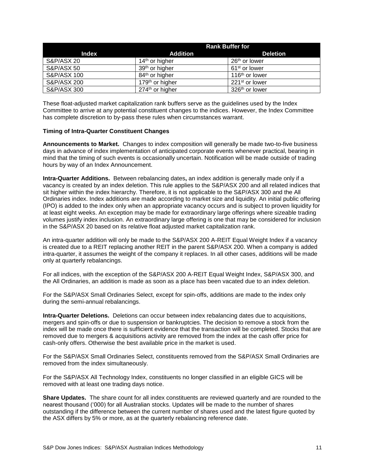|                        | <b>Rank Buffer for</b>      |                            |  |
|------------------------|-----------------------------|----------------------------|--|
| <b>Index</b>           | Addition                    | <b>Deletion</b>            |  |
| <b>S&amp;P/ASX 20</b>  | $14th$ or higher            | 26 <sup>th</sup> or lower  |  |
| <b>S&amp;P/ASX 50</b>  | 39 <sup>th</sup> or higher  | 61 <sup>st</sup> or lower  |  |
| S&P/ASX 100            | 84 <sup>th</sup> or higher  | 116 <sup>th</sup> or lower |  |
| S&P/ASX 200            | 179 <sup>th</sup> or higher | 221 <sup>st</sup> or lower |  |
| <b>S&amp;P/ASX 300</b> | 274 <sup>th</sup> or higher | 326 <sup>th</sup> or lower |  |

These float-adjusted market capitalization rank buffers serve as the guidelines used by the Index Committee to arrive at any potential constituent changes to the indices. However, the Index Committee has complete discretion to by-pass these rules when circumstances warrant.

#### <span id="page-11-0"></span>**Timing of Intra-Quarter Constituent Changes**

**Announcements to Market.** Changes to index composition will generally be made two-to-five business days in advance of index implementation of anticipated corporate events whenever practical, bearing in mind that the timing of such events is occasionally uncertain. Notification will be made outside of trading hours by way of an Index Announcement.

**Intra-Quarter Additions.** Between rebalancing dates**,** an index addition is generally made only if a vacancy is created by an index deletion. This rule applies to the S&P/ASX 200 and all related indices that sit higher within the index hierarchy. Therefore, it is not applicable to the S&P/ASX 300 and the All Ordinaries index. Index additions are made according to market size and liquidity. An initial public offering (IPO) is added to the index only when an appropriate vacancy occurs and is subject to proven liquidity for at least eight weeks. An exception may be made for extraordinary large offerings where sizeable trading volumes justify index inclusion. An extraordinary large offering is one that may be considered for inclusion in the S&P/ASX 20 based on its relative float adjusted market capitalization rank.

An intra-quarter addition will only be made to the S&P/ASX 200 A-REIT Equal Weight Index if a vacancy is created due to a REIT replacing another REIT in the parent S&P/ASX 200. When a company is added intra-quarter, it assumes the weight of the company it replaces. In all other cases, additions will be made only at quarterly rebalancings.

For all indices, with the exception of the S&P/ASX 200 A-REIT Equal Weight Index, S&P/ASX 300, and the All Ordinaries, an addition is made as soon as a place has been vacated due to an index deletion.

For the S&P/ASX Small Ordinaries Select, except for spin-offs, additions are made to the index only during the semi-annual rebalancings.

**Intra-Quarter Deletions.** Deletions can occur between index rebalancing dates due to acquisitions, mergers and spin-offs or due to suspension or bankruptcies. The decision to remove a stock from the index will be made once there is sufficient evidence that the transaction will be completed. Stocks that are removed due to mergers & acquisitions activity are removed from the index at the cash offer price for cash-only offers. Otherwise the best available price in the market is used.

For the S&P/ASX Small Ordinaries Select, constituents removed from the S&P/ASX Small Ordinaries are removed from the index simultaneously.

For the S&P/ASX All Technology Index, constituents no longer classified in an eligible GICS will be removed with at least one trading days notice.

**Share Updates.** The share count for all index constituents are reviewed quarterly and are rounded to the nearest thousand ('000) for all Australian stocks. Updates will be made to the number of shares outstanding if the difference between the current number of shares used and the latest figure quoted by the ASX differs by 5% or more, as at the quarterly rebalancing reference date.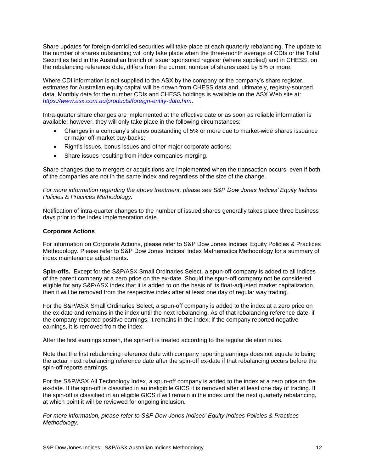Share updates for foreign-domiciled securities will take place at each quarterly rebalancing. The update to the number of shares outstanding will only take place when the three-month average of CDIs or the Total Securities held in the Australian branch of issuer sponsored register (where supplied) and in CHESS, on the rebalancing reference date, differs from the current number of shares used by 5% or more.

Where CDI information is not supplied to the ASX by the company or the company's share register, estimates for Australian equity capital will be drawn from CHESS data and, ultimately, registry-sourced data. Monthly data for the number CDIs and CHESS holdings is available on the ASX Web site at: *<https://www.asx.com.au/products/foreign-entity-data.htm>*.

Intra-quarter share changes are implemented at the effective date or as soon as reliable information is available; however, they will only take place in the following circumstances:

- Changes in a company's shares outstanding of 5% or more due to market-wide shares issuance or major off-market buy-backs;
- Right's issues, bonus issues and other major corporate actions;
- Share issues resulting from index companies merging.

Share changes due to mergers or acquisitions are implemented when the transaction occurs, even if both of the companies are not in the same index and regardless of the size of the change.

*For more information regarding the above treatment, please see S&P Dow Jones Indices' Equity Indices Policies & Practices Methodology.*

Notification of intra-quarter changes to the number of issued shares generally takes place three business days prior to the index implementation date.

#### <span id="page-12-0"></span>**Corporate Actions**

For information on Corporate Actions, please refer to S&P Dow Jones Indices' Equity Policies & Practices Methodology. Please refer to S&P Dow Jones Indices' Index Mathematics Methodology for a summary of index maintenance adjustments.

**Spin-offs.** Except for the S&P/ASX Small Ordinaries Select, a spun-off company is added to all indices of the parent company at a zero price on the ex-date. Should the spun-off company not be considered eligible for any S&P/ASX index that it is added to on the basis of its float-adjusted market capitalization, then it will be removed from the respective index after at least one day of regular way trading.

For the S&P/ASX Small Ordinaries Select, a spun-off company is added to the index at a zero price on the ex-date and remains in the index until the next rebalancing. As of that rebalancing reference date, if the company reported positive earnings, it remains in the index; if the company reported negative earnings, it is removed from the index.

After the first earnings screen, the spin-off is treated according to the regular deletion rules.

Note that the first rebalancing reference date with company reporting earnings does not equate to being the actual next rebalancing reference date after the spin-off ex-date if that rebalancing occurs before the spin-off reports earnings.

For the S&P/ASX All Technology Index, a spun-off company is added to the index at a zero price on the ex-date. If the spin-off is classified in an ineligibile GICS it is removed after at least one day of trading. If the spin-off is classified in an eligible GICS it will remain in the index until the next quarterly rebalancing, at which point it will be reviewed for ongoing inclusion.

*For more information, please refer to S&P Dow Jones Indices' Equity Indices Policies & Practices Methodology.*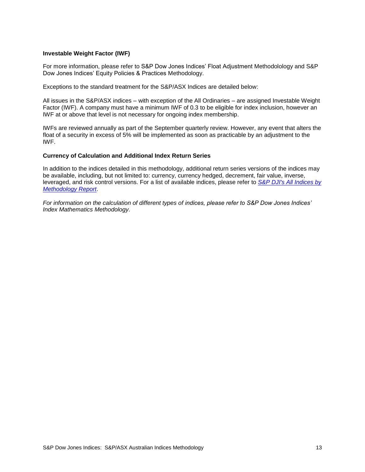#### <span id="page-13-0"></span>**Investable Weight Factor (IWF)**

For more information, please refer to S&P Dow Jones Indices' Float Adjustment Methodolology and S&P Dow Jones Indices' Equity Policies & Practices Methodology.

Exceptions to the standard treatment for the S&P/ASX Indices are detailed below:

All issues in the S&P/ASX indices – with exception of the All Ordinaries – are assigned Investable Weight Factor (IWF). A company must have a minimum IWF of 0.3 to be eligible for index inclusion, however an IWF at or above that level is not necessary for ongoing index membership.

IWFs are reviewed annually as part of the September quarterly review. However, any event that alters the float of a security in excess of 5% will be implemented as soon as practicable by an adjustment to the IWF.

#### <span id="page-13-1"></span>**Currency of Calculation and Additional Index Return Series**

In addition to the indices detailed in this methodology, additional return series versions of the indices may be available, including, but not limited to: currency, currency hedged, decrement, fair value, inverse, leveraged, and risk control versions. For a list of available indices, please refer to *[S&P DJI's All Indices by](https://us.spindices.com/web-data-downloads/regulatory/spdji-all-indices-methodology-report.xlsx?force_download=true)  [Methodology Report](https://us.spindices.com/web-data-downloads/regulatory/spdji-all-indices-methodology-report.xlsx?force_download=true)*.

*For information on the calculation of different types of indices, please refer to S&P Dow Jones Indices' Index Mathematics Methodology.*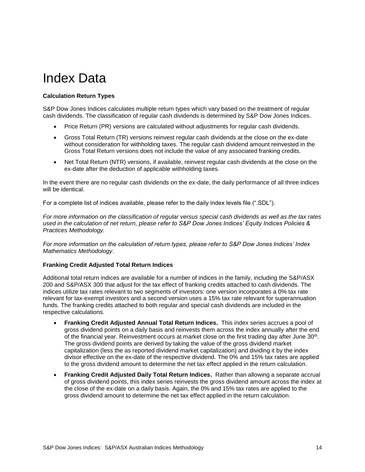### <span id="page-14-0"></span>Index Data

#### <span id="page-14-1"></span>**Calculation Return Types**

S&P Dow Jones Indices calculates multiple return types which vary based on the treatment of regular cash dividends. The classification of regular cash dividends is determined by S&P Dow Jones Indices.

- Price Return (PR) versions are calculated without adjustments for regular cash dividends.
- Gross Total Return (TR) versions reinvest regular cash dividends at the close on the ex-date without consideration for withholding taxes. The regular cash dividend amount reinvested in the Gross Total Return versions does not include the value of any associated franking credits.
- Net Total Return (NTR) versions, if available, reinvest regular cash dividends at the close on the ex-date after the deduction of applicable withholding taxes.

In the event there are no regular cash dividends on the ex-date, the daily performance of all three indices will be identical.

For a complete list of indices available, please refer to the daily index levels file (".SDL").

*For more information on the classification of regular versus special cash dividends as well as the tax rates used in the calculation of net return, please refer to S&P Dow Jones Indices' Equity Indices Policies & Practices Methodology.*

*For more information on the calculation of return types, please refer to S&P Dow Jones Indices' Index Mathematics Methodology*.

#### <span id="page-14-2"></span>**Franking Credit Adjusted Total Return Indices**

Additional total return indices are available for a number of indices in the family, including the S&P/ASX 200 and S&P/ASX 300 that adjust for the tax effect of franking credits attached to cash dividends. The indices utilize tax rates relevant to two segments of investors: one version incorporates a 0% tax rate relevant for tax-exempt investors and a second version uses a 15% tax rate relevant for superannuation funds. The franking credits attached to both regular and special cash dividends are included in the respective calculations.

- **Franking Credit Adjusted Annual Total Return Indices.** This index series accrues a pool of gross dividend points on a daily basis and reinvests them across the index annually after the end of the financial year. Reinvestment occurs at market close on the first trading day after June 30<sup>th</sup>. The gross dividend points are derived by taking the value of the gross dividend market capitalization (less the as reported dividend market capitalization) and dividing it by the index divisor effective on the ex-date of the respective dividend. The 0% and 15% tax rates are applied to the gross dividend amount to determine the net tax effect applied in the return calculation.
- **Franking Credit Adjusted Daily Total Return Indices.** Rather than allowing a separate accrual of gross dividend points, this index series reinvests the gross dividend amount across the index at the close of the ex-date on a daily basis. Again, the 0% and 15% tax rates are applied to the gross dividend amount to determine the net tax effect applied in the return calculation.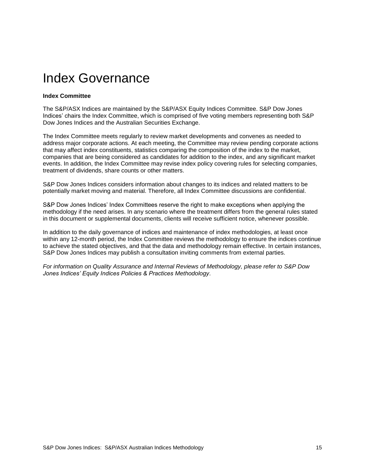### <span id="page-15-0"></span>Index Governance

#### <span id="page-15-1"></span>**Index Committee**

The S&P/ASX Indices are maintained by the S&P/ASX Equity Indices Committee. S&P Dow Jones Indices' chairs the Index Committee, which is comprised of five voting members representing both S&P Dow Jones Indices and the Australian Securities Exchange.

The Index Committee meets regularly to review market developments and convenes as needed to address major corporate actions. At each meeting, the Committee may review pending corporate actions that may affect index constituents, statistics comparing the composition of the index to the market, companies that are being considered as candidates for addition to the index, and any significant market events. In addition, the Index Committee may revise index policy covering rules for selecting companies, treatment of dividends, share counts or other matters.

S&P Dow Jones Indices considers information about changes to its indices and related matters to be potentially market moving and material. Therefore, all Index Committee discussions are confidential.

S&P Dow Jones Indices' Index Committees reserve the right to make exceptions when applying the methodology if the need arises. In any scenario where the treatment differs from the general rules stated in this document or supplemental documents, clients will receive sufficient notice, whenever possible.

In addition to the daily governance of indices and maintenance of index methodologies, at least once within any 12-month period, the Index Committee reviews the methodology to ensure the indices continue to achieve the stated objectives, and that the data and methodology remain effective. In certain instances, S&P Dow Jones Indices may publish a consultation inviting comments from external parties.

*For information on Quality Assurance and Internal Reviews of Methodology, please refer to S&P Dow Jones Indices' Equity Indices Policies & Practices Methodology*.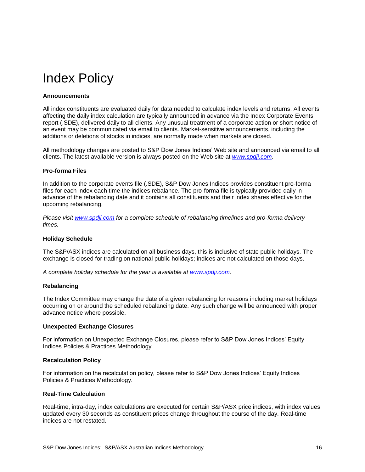### <span id="page-16-0"></span>Index Policy

#### <span id="page-16-1"></span>**Announcements**

All index constituents are evaluated daily for data needed to calculate index levels and returns. All events affecting the daily index calculation are typically announced in advance via the Index Corporate Events report (.SDE), delivered daily to all clients. Any unusual treatment of a corporate action or short notice of an event may be communicated via email to clients. Market-sensitive announcements, including the additions or deletions of stocks in indices, are normally made when markets are closed.

All methodology changes are posted to S&P Dow Jones Indices' Web site and announced via email to all clients. The latest available version is always posted on the Web site at *[www.spdji.com](http://www.spdji.com/)*.

#### <span id="page-16-2"></span>**Pro-forma Files**

In addition to the corporate events file (.SDE), S&P Dow Jones Indices provides constituent pro-forma files for each index each time the indices rebalance. The pro-forma file is typically provided daily in advance of the rebalancing date and it contains all constituents and their index shares effective for the upcoming rebalancing.

*Please visit [www.spdji.com](http://www.spdji.com/) for a complete schedule of rebalancing timelines and pro-forma delivery times.*

#### <span id="page-16-3"></span>**Holiday Schedule**

The S&P/ASX indices are calculated on all business days, this is inclusive of state public holidays. The exchange is closed for trading on national public holidays; indices are not calculated on those days.

<span id="page-16-4"></span>*A complete holiday schedule for the year is available at [www.spdji.com.](http://www.spdji.com/)*

#### **Rebalancing**

The Index Committee may change the date of a given rebalancing for reasons including market holidays occurring on or around the scheduled rebalancing date. Any such change will be announced with proper advance notice where possible.

#### <span id="page-16-5"></span>**Unexpected Exchange Closures**

For information on Unexpected Exchange Closures, please refer to S&P Dow Jones Indices' Equity Indices Policies & Practices Methodology*.*

#### <span id="page-16-6"></span>**Recalculation Policy**

For information on the recalculation policy, please refer to S&P Dow Jones Indices' Equity Indices Policies & Practices Methodology.

#### <span id="page-16-7"></span>**Real-Time Calculation**

Real-time, intra-day, index calculations are executed for certain S&P/ASX price indices, with index values updated every 30 seconds as constituent prices change throughout the course of the day. Real-time indices are not restated.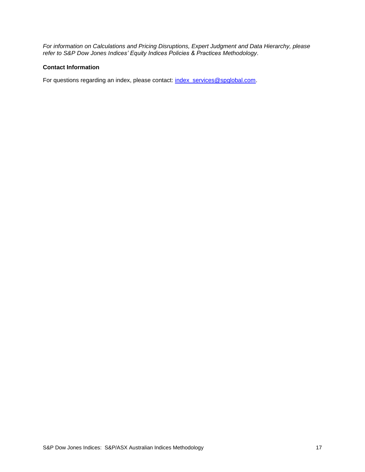*For information on Calculations and Pricing Disruptions, Expert Judgment and Data Hierarchy, please refer to S&P Dow Jones Indices' Equity Indices Policies & Practices Methodology*.

#### <span id="page-17-0"></span>**Contact Information**

For questions regarding an index, please contact: [index\\_services@spglobal.com.](mailto:index_services@spglobal.com)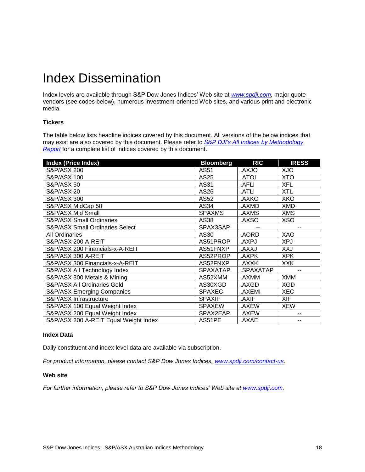### <span id="page-18-0"></span>Index Dissemination

Index levels are available through S&P Dow Jones Indices' Web site at *[www.spdji.com,](http://www.spdji.com/)* major quote vendors (see codes below), numerous investment-oriented Web sites, and various print and electronic media.

#### <span id="page-18-1"></span>**Tickers**

The table below lists headline indices covered by this document. All versions of the below indices that may exist are also covered by this document. Please refer to *[S&P DJI's All Indices by Methodology](https://us.spindices.com/web-data-downloads/regulatory/spdji-all-indices-methodology-report.xlsx?force_download=true)  [Report](https://us.spindices.com/web-data-downloads/regulatory/spdji-all-indices-methodology-report.xlsx?force_download=true)* for a complete list of indices covered by this document.

| <b>Index (Price Index)</b>            | <b>Bloomberg</b> | <b>RIC</b>   | <b>IRESS</b> |
|---------------------------------------|------------------|--------------|--------------|
| S&P/ASX 200                           | AS51             | OlXA.        | <b>XJO</b>   |
| S&P/ASX 100                           | AS25             | IOTA.        | XTO          |
| <b>S&amp;P/ASX 50</b>                 | AS31             | .AFLI        | XFL          |
| <b>S&amp;P/ASX 20</b>                 | AS26             | .ATLI        | <b>XTL</b>   |
| S&P/ASX 300                           | AS52             | AXKO.        | <b>XKO</b>   |
| S&P/ASX MidCap 50                     | AS34             | AXMD.        | <b>XMD</b>   |
| S&P/ASX Mid Small                     | <b>SPAXMS</b>    | .AXMS        | <b>XMS</b>   |
| <b>S&amp;P/ASX Small Ordinaries</b>   | AS38             | AXSO.        | <b>XSO</b>   |
| S&P/ASX Small Ordinaries Select       | SPAX3SAP         |              | --           |
| <b>All Ordinaries</b>                 | AS30             | .AORD        | XAO          |
| S&P/ASX 200 A-REIT                    | AS51PROP         | AXPJ.        | <b>XPJ</b>   |
| S&P/ASX 200 Financials-x-A-REIT       | AS51FNXP         | <b>LXXA.</b> | XXJ          |
| S&P/ASX 300 A-REIT                    | AS52PROP         | .AXPK        | <b>XPK</b>   |
| S&P/ASX 300 Financials-x-A-REIT       | AS52FNXP         | .AXXK        | <b>XXK</b>   |
| S&P/ASX All Technology Index          | <b>SPAXATAP</b>  | .SPAXATAP    | --           |
| S&P/ASX 300 Metals & Mining           | AS52XMM          | .AXMM        | <b>XMM</b>   |
| S&P/ASX All Ordinaries Gold           | AS30XGD          | .AXGD        | XGD          |
| <b>S&amp;P/ASX Emerging Companies</b> | <b>SPAXEC</b>    | .AXEMI       | <b>XEC</b>   |
| S&P/ASX Infrastructure                | <b>SPAXIF</b>    | .AXIF        | <b>XIF</b>   |
| S&P/ASX 100 Equal Weight Index        | <b>SPAXEW</b>    | .AXEW        | <b>XEW</b>   |
| S&P/ASX 200 Equal Weight Index        | SPAX2EAP         | .AXEW        |              |
| S&P/ASX 200 A-REIT Equal Weight Index | AS51PE           | .AXAE        | --           |

#### <span id="page-18-2"></span>**Index Data**

Daily constituent and index level data are available via subscription.

<span id="page-18-3"></span>*For product information, please contact S&P Dow Jones Indices, [www.spdji.com/contact-us](http://www.spdji.com/contact-us)*.

#### **Web site**

*For further information, please refer to S&P Dow Jones Indices' Web site at [www.spdji.com.](http://www.spdji.com/)*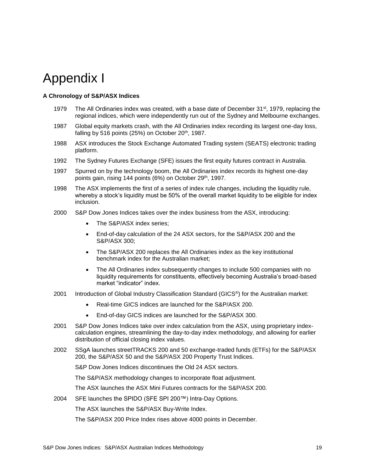### <span id="page-19-0"></span>Appendix I

#### <span id="page-19-1"></span>**A Chronology of S&P/ASX Indices**

- 1979 The All Ordinaries index was created, with a base date of December 31<sup>st</sup>, 1979, replacing the regional indices, which were independently run out of the Sydney and Melbourne exchanges.
- 1987 Global equity markets crash, with the All Ordinaries index recording its largest one-day loss, falling by 516 points  $(25%)$  on October  $20<sup>th</sup>$ , 1987.
- 1988 ASX introduces the Stock Exchange Automated Trading system (SEATS) electronic trading platform.
- 1992 The Sydney Futures Exchange (SFE) issues the first equity futures contract in Australia.
- 1997 Spurred on by the technology boom, the All Ordinaries index records its highest one-day points gain, rising 144 points (6%) on October 29<sup>th</sup>, 1997.
- 1998 The ASX implements the first of a series of index rule changes, including the liquidity rule, whereby a stock's liquidity must be 50% of the overall market liquidity to be eligible for index inclusion.
- 2000 S&P Dow Jones Indices takes over the index business from the ASX, introducing:
	- The S&P/ASX index series;
	- End-of-day calculation of the 24 ASX sectors, for the S&P/ASX 200 and the S&P/ASX 300;
	- The S&P/ASX 200 replaces the All Ordinaries index as the key institutional benchmark index for the Australian market;
	- The All Ordinaries index subsequently changes to include 500 companies with no liquidity requirements for constituents, effectively becoming Australia's broad-based market "indicator" index.
- 2001 Introduction of Global Industry Classification Standard (GICS®) for the Australian market:
	- Real-time GICS indices are launched for the S&P/ASX 200.
	- End-of-day GICS indices are launched for the S&P/ASX 300.
- 2001 S&P Dow Jones Indices take over index calculation from the ASX, using proprietary indexcalculation engines, streamlining the day-to-day index methodology, and allowing for earlier distribution of official closing index values.
- 2002 SSgA launches streetTRACKS 200 and 50 exchange-traded funds (ETFs) for the S&P/ASX 200, the S&P/ASX 50 and the S&P/ASX 200 Property Trust Indices.

S&P Dow Jones Indices discontinues the Old 24 ASX sectors.

The S&P/ASX methodology changes to incorporate float adjustment.

The ASX launches the ASX Mini Futures contracts for the S&P/ASX 200.

2004 SFE launches the SPIDO (SFE SPI 200™) Intra-Day Options.

The ASX launches the S&P/ASX Buy-Write Index.

The S&P/ASX 200 Price Index rises above 4000 points in December.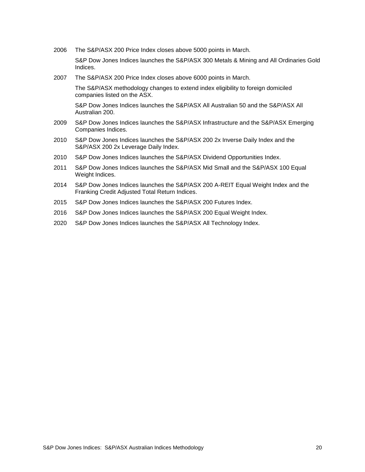2006 The S&P/ASX 200 Price Index closes above 5000 points in March.

S&P Dow Jones Indices launches the S&P/ASX 300 Metals & Mining and All Ordinaries Gold Indices.

2007 The S&P/ASX 200 Price Index closes above 6000 points in March.

The S&P/ASX methodology changes to extend index eligibility to foreign domiciled companies listed on the ASX.

S&P Dow Jones Indices launches the S&P/ASX All Australian 50 and the S&P/ASX All Australian 200.

- 2009 S&P Dow Jones Indices launches the S&P/ASX Infrastructure and the S&P/ASX Emerging Companies Indices.
- 2010 S&P Dow Jones Indices launches the S&P/ASX 200 2x Inverse Daily Index and the S&P/ASX 200 2x Leverage Daily Index.
- 2010 S&P Dow Jones Indices launches the S&P/ASX Dividend Opportunities Index.
- 2011 S&P Dow Jones Indices launches the S&P/ASX Mid Small and the S&P/ASX 100 Equal Weight Indices.
- 2014 S&P Dow Jones Indices launches the S&P/ASX 200 A-REIT Equal Weight Index and the Franking Credit Adjusted Total Return Indices.
- 2015 S&P Dow Jones Indices launches the S&P/ASX 200 Futures Index.
- 2016 S&P Dow Jones Indices launches the S&P/ASX 200 Equal Weight Index.
- 2020 S&P Dow Jones Indices launches the S&P/ASX All Technology Index.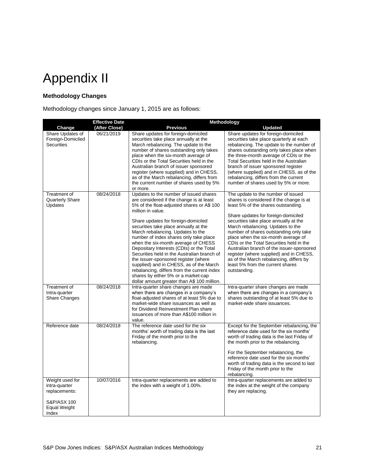## <span id="page-21-0"></span>Appendix II

#### <span id="page-21-1"></span>**Methodology Changes**

Methodology changes since January 1, 2015 are as follows:

|                                                                                           | <b>Effective Date</b> | Methodology                                                                                                                                                                                                                                                                                                                                                                                                                                                                                                                                                                                                                                                                    |                                                                                                                                                                                                                                                                                                                                                                                                                                                                                                                                                                |
|-------------------------------------------------------------------------------------------|-----------------------|--------------------------------------------------------------------------------------------------------------------------------------------------------------------------------------------------------------------------------------------------------------------------------------------------------------------------------------------------------------------------------------------------------------------------------------------------------------------------------------------------------------------------------------------------------------------------------------------------------------------------------------------------------------------------------|----------------------------------------------------------------------------------------------------------------------------------------------------------------------------------------------------------------------------------------------------------------------------------------------------------------------------------------------------------------------------------------------------------------------------------------------------------------------------------------------------------------------------------------------------------------|
| Change                                                                                    | (After Close)         | <b>Previous</b>                                                                                                                                                                                                                                                                                                                                                                                                                                                                                                                                                                                                                                                                | <b>Updated</b>                                                                                                                                                                                                                                                                                                                                                                                                                                                                                                                                                 |
| Share Updates of<br>Foreign-Domiciled<br><b>Securities</b>                                | 06/21/2019            | Share updates for foreign-domiciled<br>securities take place annually at the<br>March rebalancing. The update to the<br>number of shares outstanding only takes<br>place when the six-month average of<br>CDIs or the Total Securities held in the<br>Australian branch of issuer sponsored<br>register (where supplied) and in CHESS,<br>as of the March rebalancing, differs from<br>the current number of shares used by 5%<br>or more.                                                                                                                                                                                                                                     | Share updates for foreign-domiciled<br>securities take place quarterly at each<br>rebalancing. The update to the number of<br>shares outstanding only takes place when<br>the three-month average of CDIs or the<br>Total Securities held in the Australian<br>branch of issuer sponsored register<br>(where supplied) and in CHESS, as of the<br>rebalancing, differs from the current<br>number of shares used by 5% or more.                                                                                                                                |
| Treatment of<br>Quarterly Share<br>Updates                                                | 08/24/2018            | Updates to the number of issued shares<br>are considered if the change is at least<br>5% of the float-adjusted shares or A\$ 100<br>million in value.<br>Share updates for foreign-domiciled<br>securities take place annually at the<br>March rebalancing. Updates to the<br>number of index shares only take place<br>when the six-month average of CHESS<br>Depositary Interests (CDIs) or the Total<br>Securities held in the Australian branch of<br>the issuer-sponsored register (where<br>supplied) and in CHESS, as of the March<br>rebalancing, differs from the current index<br>shares by either 5% or a market-cap<br>dollar amount greater than A\$ 100 million. | The update to the number of issued<br>shares is considered if the change is at<br>least 5% of the shares outstanding.<br>Share updates for foreign-domiciled<br>securities take place annually at the<br>March rebalancing. Updates to the<br>number of shares outstanding only take<br>place when the six-month average of<br>CDIs or the Total Securities held in the<br>Australian branch of the issuer-sponsored<br>register (where supplied) and in CHESS,<br>as of the March rebalancing, differs by<br>least 5% from the current shares<br>outstanding. |
| Treatment of<br>Intra-quarter<br><b>Share Changes</b>                                     | 08/24/2018            | Intra-quarter share changes are made<br>when there are changes in a company's<br>float-adjusted shares of at least 5% due to<br>market-wide share issuances as well as<br>for Dividend Reinvestment Plan share<br>issuances of more than A\$100 million in<br>value.                                                                                                                                                                                                                                                                                                                                                                                                           | Intra-quarter share changes are made<br>when there are changes in a company's<br>shares outstanding of at least 5% due to<br>market-wide share issuances.                                                                                                                                                                                                                                                                                                                                                                                                      |
| Reference date                                                                            | 08/24/2018            | The reference date used for the six<br>months' worth of trading data is the last<br>Friday of the month prior to the<br>rebalancing.                                                                                                                                                                                                                                                                                                                                                                                                                                                                                                                                           | Except for the September rebalancing, the<br>reference date used for the six months'<br>worth of trading data is the last Friday of<br>the month prior to the rebalancing.<br>For the September rebalancing, the<br>reference date used for the six months'<br>worth of trading data is the second to last<br>Friday of the month prior to the<br>rebalancing.                                                                                                                                                                                                 |
| Weight used for<br>intra-quarter<br>replacements:<br>S&P/ASX 100<br>Equal Weight<br>Index | 10/07/2016            | Intra-quarter replacements are added to<br>the index with a weight of 1.00%.                                                                                                                                                                                                                                                                                                                                                                                                                                                                                                                                                                                                   | Intra-quarter replacements are added to<br>the index at the weight of the company<br>they are replacing.                                                                                                                                                                                                                                                                                                                                                                                                                                                       |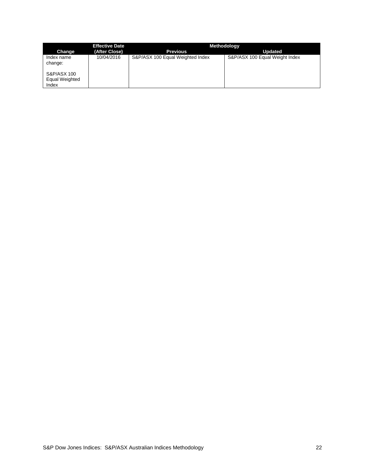|                                                                 | <b>Effective Date</b> | Methodology                      |                                |
|-----------------------------------------------------------------|-----------------------|----------------------------------|--------------------------------|
| Change                                                          | (After Close)         | <b>Previous</b>                  | <b>Updated</b>                 |
| Index name<br>change:<br>S&P/ASX 100<br>Equal Weighted<br>Index | 10/04/2016            | S&P/ASX 100 Equal Weighted Index | S&P/ASX 100 Equal Weight Index |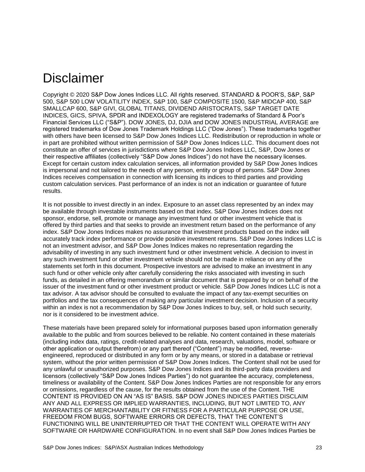### <span id="page-23-0"></span>Disclaimer

Copyright © 2020 S&P Dow Jones Indices LLC. All rights reserved. STANDARD & POOR'S, S&P, S&P 500, S&P 500 LOW VOLATILITY INDEX, S&P 100, S&P COMPOSITE 1500, S&P MIDCAP 400, S&P SMALLCAP 600, S&P GIVI, GLOBAL TITANS, DIVIDEND ARISTOCRATS, S&P TARGET DATE INDICES, GICS, SPIVA, SPDR and INDEXOLOGY are registered trademarks of Standard & Poor's Financial Services LLC ("S&P"). DOW JONES, DJ, DJIA and DOW JONES INDUSTRIAL AVERAGE are registered trademarks of Dow Jones Trademark Holdings LLC ("Dow Jones"). These trademarks together with others have been licensed to S&P Dow Jones Indices LLC. Redistribution or reproduction in whole or in part are prohibited without written permission of S&P Dow Jones Indices LLC. This document does not constitute an offer of services in jurisdictions where S&P Dow Jones Indices LLC, S&P, Dow Jones or their respective affiliates (collectively "S&P Dow Jones Indices") do not have the necessary licenses. Except for certain custom index calculation services, all information provided by S&P Dow Jones Indices is impersonal and not tailored to the needs of any person, entity or group of persons. S&P Dow Jones Indices receives compensation in connection with licensing its indices to third parties and providing custom calculation services. Past performance of an index is not an indication or guarantee of future results.

It is not possible to invest directly in an index. Exposure to an asset class represented by an index may be available through investable instruments based on that index. S&P Dow Jones Indices does not sponsor, endorse, sell, promote or manage any investment fund or other investment vehicle that is offered by third parties and that seeks to provide an investment return based on the performance of any index. S&P Dow Jones Indices makes no assurance that investment products based on the index will accurately track index performance or provide positive investment returns. S&P Dow Jones Indices LLC is not an investment advisor, and S&P Dow Jones Indices makes no representation regarding the advisability of investing in any such investment fund or other investment vehicle. A decision to invest in any such investment fund or other investment vehicle should not be made in reliance on any of the statements set forth in this document. Prospective investors are advised to make an investment in any such fund or other vehicle only after carefully considering the risks associated with investing in such funds, as detailed in an offering memorandum or similar document that is prepared by or on behalf of the issuer of the investment fund or other investment product or vehicle. S&P Dow Jones Indices LLC is not a tax advisor. A tax advisor should be consulted to evaluate the impact of any tax-exempt securities on portfolios and the tax consequences of making any particular investment decision. Inclusion of a security within an index is not a recommendation by S&P Dow Jones Indices to buy, sell, or hold such security, nor is it considered to be investment advice.

These materials have been prepared solely for informational purposes based upon information generally available to the public and from sources believed to be reliable. No content contained in these materials (including index data, ratings, credit-related analyses and data, research, valuations, model, software or other application or output therefrom) or any part thereof ("Content") may be modified, reverseengineered, reproduced or distributed in any form or by any means, or stored in a database or retrieval system, without the prior written permission of S&P Dow Jones Indices. The Content shall not be used for any unlawful or unauthorized purposes. S&P Dow Jones Indices and its third-party data providers and licensors (collectively "S&P Dow Jones Indices Parties") do not guarantee the accuracy, completeness, timeliness or availability of the Content. S&P Dow Jones Indices Parties are not responsible for any errors or omissions, regardless of the cause, for the results obtained from the use of the Content. THE CONTENT IS PROVIDED ON AN "AS IS" BASIS. S&P DOW JONES INDICES PARTIES DISCLAIM ANY AND ALL EXPRESS OR IMPLIED WARRANTIES, INCLUDING, BUT NOT LIMITED TO, ANY WARRANTIES OF MERCHANTABILITY OR FITNESS FOR A PARTICULAR PURPOSE OR USE, FREEDOM FROM BUGS, SOFTWARE ERRORS OR DEFECTS, THAT THE CONTENT'S FUNCTIONING WILL BE UNINTERRUPTED OR THAT THE CONTENT WILL OPERATE WITH ANY SOFTWARE OR HARDWARE CONFIGURATION. In no event shall S&P Dow Jones Indices Parties be